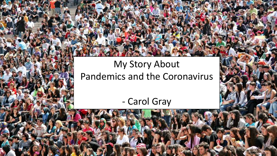## My Story About Pandemics and the Coronavirus

- Carol Gray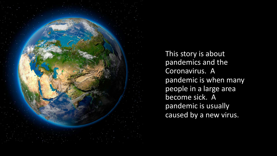

This story is about pandemics and the Coronavirus. A pandemic is when many people in a large area become sick. A pandemic is usually caused by a new virus.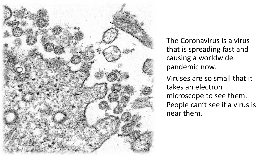

The Coronavirus is a virus that is spreading fast and causing a worldwide pandemic now.

Viruses are so small that it takes an electron microscope to see them. People can't see if a virus is near them.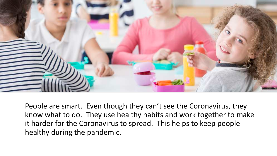

People are smart. Even though they can't see the Coronavirus, they know what to do. They use healthy habits and work together to make it harder for the Coronavirus to spread. This helps to keep people healthy during the pandemic.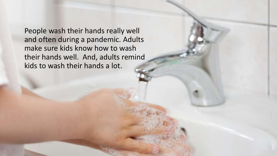People wash their hands really well and often during a pandemic. Adults make sure kids know how to wash their hands well. And, adults remind kids to wash their hands a lot.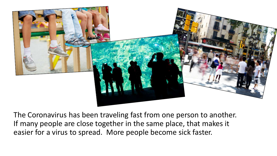

The Coronavirus has been traveling fast from one person to another. If many people are close together in the same place, that makes it easier for a virus to spread. More people become sick faster.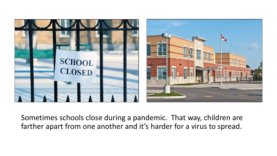

Sometimes schools close during a pandemic. That way, children are farther apart from one another and it's harder for a virus to spread.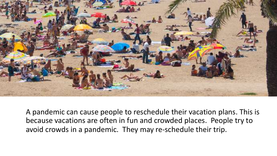

A pandemic can cause people to reschedule their vacation plans. This is because vacations are often in fun and crowded places. People try to avoid crowds in a pandemic. They may re-schedule their trip.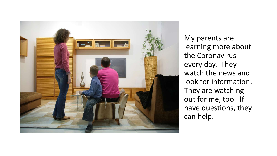

My parents are learning more about the Coronavirus every day. They watch the news and look for information. They are watching out for me, too. If I have questions, they can help.